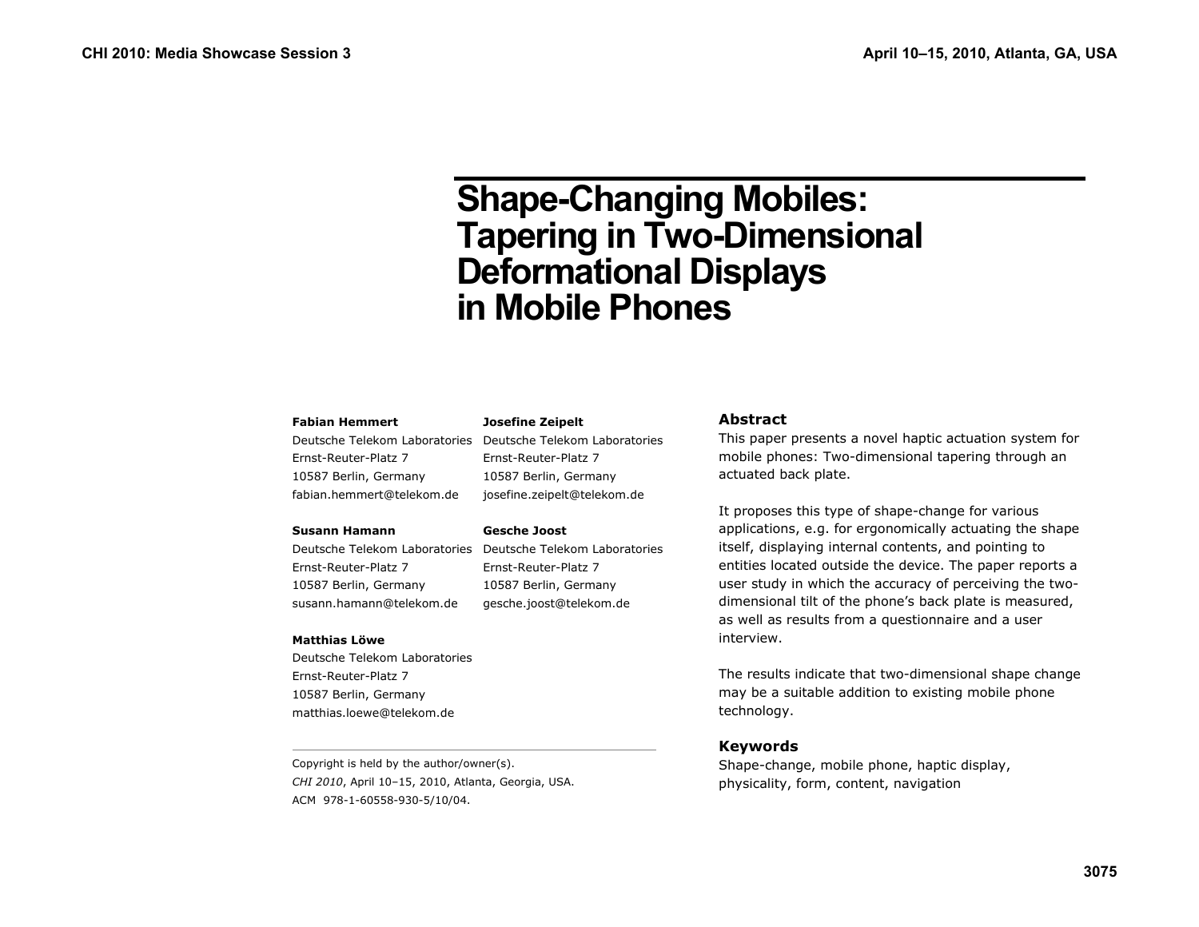# **Shape-Changing Mobiles: Tapering in Two-Dimensional Deformational Displays in Mobile Phones**

#### **Fabian Hemmert**

Deutsche Telekom Laboratories Deutsche Telekom Laboratories Ernst-Reuter-Platz 7 10587 Berlin, Germany fabian.hemmert@telekom.de

**Josefine Zeipelt** 

**Gesche Joost** 

Ernst-Reuter-Platz 7 10587 Berlin, Germany josefine.zeipelt@telekom.de

Ernst-Reuter-Platz 7 10587 Berlin, Germany gesche.joost@telekom.de

#### **Susann Hamann**

Deutsche Telekom Laboratories Deutsche Telekom Laboratories Ernst-Reuter-Platz 7 10587 Berlin, Germany susann.hamann@telekom.de

#### **Matthias Löwe**

Deutsche Telekom Laboratories Ernst-Reuter-Platz 7 10587 Berlin, Germany matthias.loewe@telekom.de

Copyright is held by the author/owner(s). *CHI 2010*, April 10–15, 2010, Atlanta, Georgia, USA. ACM 978-1-60558-930-5/10/04.

#### **Abstract**

This paper presents a novel haptic actuation system for mobile phones: Two-dimensional tapering through an actuated back plate.

It proposes this type of shape-change for various applications, e.g. for ergonomically actuating the shape itself, displaying internal contents, and pointing to entities located outside the device. The paper reports a user study in which the accuracy of perceiving the twodimensional tilt of the phone's back plate is measured, as well as results from a questionnaire and a user interview.

The results indicate that two-dimensional shape change may be a suitable addition to existing mobile phone technology.

## **Keywords**

Shape-change, mobile phone, haptic display, physicality, form, content, navigation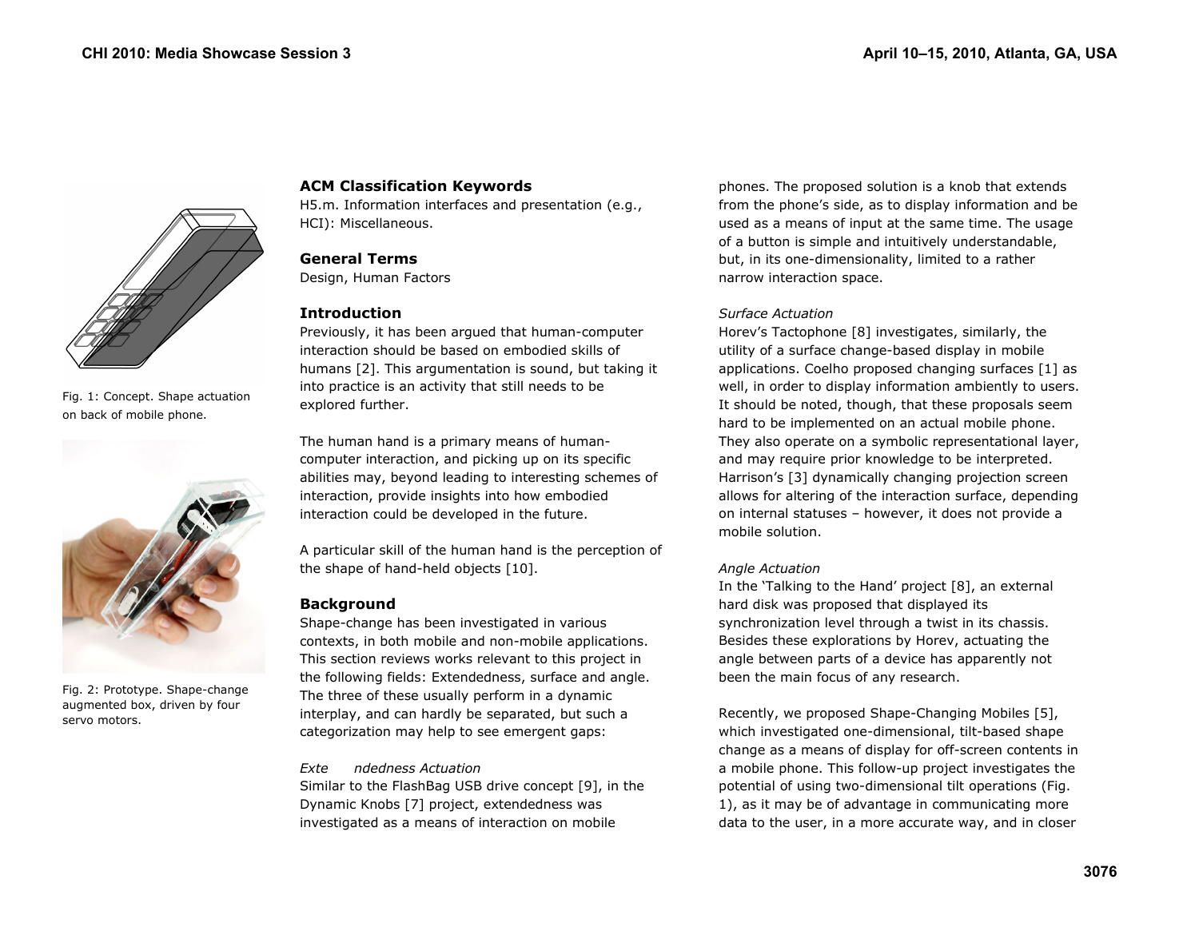

Fig. 1: Concept. Shape actuation on back of mobile phone.



Fig. 2: Prototype. Shape-change augmented box, driven by four servo motors.

# **ACM Classification Keywords**

H5.m. Information interfaces and presentation (e.g., HCI): Miscellaneous.

# **General Terms**

Design, Human Factors

## **Introduction**

Previously, it has been argued that human-computer interaction should be based on embodied skills of humans [2]. This argumentation is sound, but taking it into practice is an activity that still needs to be explored further.

The human hand is a primary means of humancomputer interaction, and picking up on its specific abilities may, beyond leading to interesting schemes of interaction, provide insights into how embodied interaction could be developed in the future.

A particular skill of the human hand is the perception of the shape of hand-held objects [10].

## **Background**

Shape-change has been investigated in various contexts, in both mobile and non-mobile applications. This section reviews works relevant to this project in the following fields: Extendedness, surface and angle. The three of these usually perform in a dynamic interplay, and can hardly be separated, but such a categorization may help to see emergent gaps:

## *Exte ndedness Actuation*

Similar to the FlashBag USB drive concept [9], in the Dynamic Knobs [7] project, extendedness was investigated as a means of interaction on mobile

phones. The proposed solution is a knob that extends from the phone's side, as to display information and be used as a means of input at the same time. The usage of a button is simple and intuitively understandable, but, in its one-dimensionality, limited to a rather narrow interaction space.

## *Surface Actuation*

Horev's Tactophone [8] investigates, similarly, the utility of a surface change-based display in mobile applications. Coelho proposed changing surfaces [1] as well, in order to display information ambiently to users. It should be noted, though, that these proposals seem hard to be implemented on an actual mobile phone. They also operate on a symbolic representational layer, and may require prior knowledge to be interpreted. Harrison's [3] dynamically changing projection screen allows for altering of the interaction surface, depending on internal statuses – however, it does not provide a mobile solution.

## *Angle Actuation*

In the 'Talking to the Hand' project [8], an external hard disk was proposed that displayed its synchronization level through a twist in its chassis. Besides these explorations by Horev, actuating the angle between parts of a device has apparently not been the main focus of any research.

Recently, we proposed Shape-Changing Mobiles [5], which investigated one-dimensional, tilt-based shape change as a means of display for off-screen contents in a mobile phone. This follow-up project investigates the potential of using two-dimensional tilt operations (Fig. 1), as it may be of advantage in communicating more data to the user, in a more accurate way, and in closer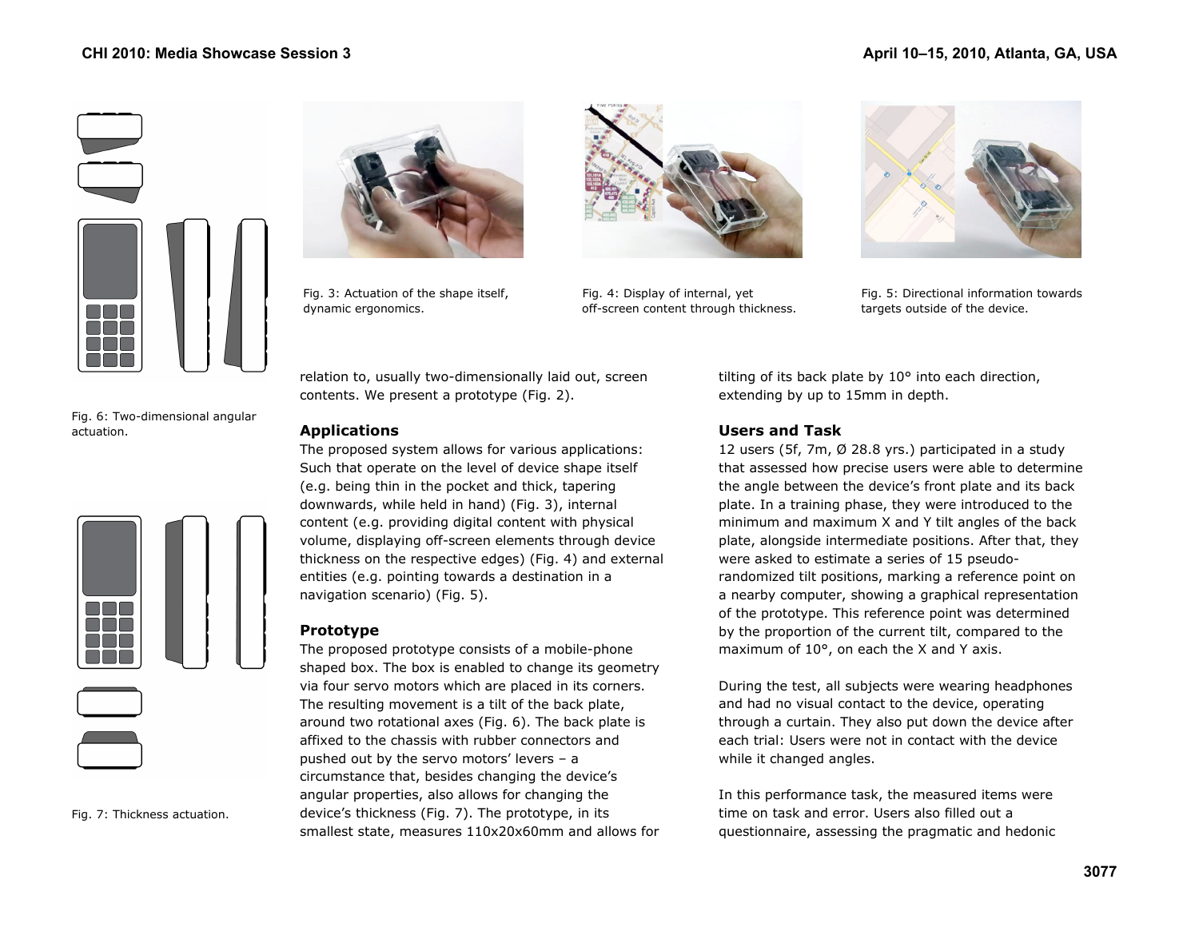





dynamic ergonomics. only off-screen content through thickness. the targets outside of the device.



Fig. 3: Actuation of the shape itself, Fig. 4: Display of internal, yet Fig. 5: Directional information towards

Fig. 6: Two-dimensional angular actuation.



Fig. 7: Thickness actuation.

relation to, usually two-dimensionally laid out, screen contents. We present a prototype (Fig. 2).

## **Applications**

The proposed system allows for various applications: Such that operate on the level of device shape itself (e.g. being thin in the pocket and thick, tapering downwards, while held in hand) (Fig. 3), internal content (e.g. providing digital content with physical volume, displaying off-screen elements through device thickness on the respective edges) (Fig. 4) and external entities (e.g. pointing towards a destination in a navigation scenario) (Fig. 5).

# **Prototype**

The proposed prototype consists of a mobile-phone shaped box. The box is enabled to change its geometry via four servo motors which are placed in its corners. The resulting movement is a tilt of the back plate, around two rotational axes (Fig. 6). The back plate is affixed to the chassis with rubber connectors and pushed out by the servo motors' levers – a circumstance that, besides changing the device's angular properties, also allows for changing the device's thickness (Fig. 7). The prototype, in its smallest state, measures 110x20x60mm and allows for tilting of its back plate by 10° into each direction, extending by up to 15mm in depth.

# **Users and Task**

12 users (5f, 7m, Ø 28.8 yrs.) participated in a study that assessed how precise users were able to determine the angle between the device's front plate and its back plate. In a training phase, they were introduced to the minimum and maximum X and Y tilt angles of the back plate, alongside intermediate positions. After that, they were asked to estimate a series of 15 pseudorandomized tilt positions, marking a reference point on a nearby computer, showing a graphical representation of the prototype. This reference point was determined by the proportion of the current tilt, compared to the maximum of 10°, on each the X and Y axis.

During the test, all subjects were wearing headphones and had no visual contact to the device, operating through a curtain. They also put down the device after each trial: Users were not in contact with the device while it changed angles.

In this performance task, the measured items were time on task and error. Users also filled out a questionnaire, assessing the pragmatic and hedonic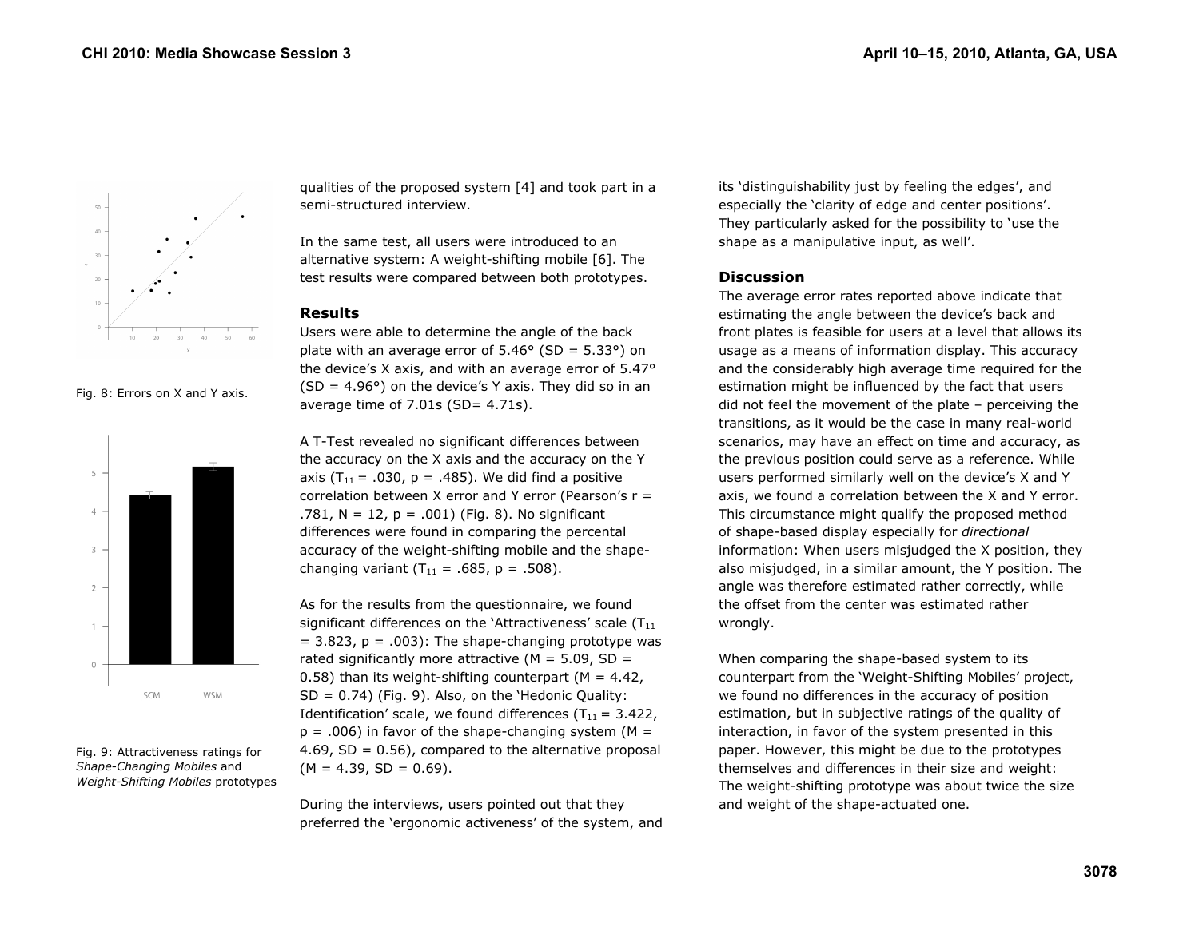





Fig. 9: Attractiveness ratings for *Shape-Changing Mobiles* and *Weight-Shifting Mobiles* prototypes

qualities of the proposed system [4] and took part in a semi-structured interview.

In the same test, all users were introduced to an alternative system: A weight-shifting mobile [6]. The test results were compared between both prototypes.

#### **Results**

Users were able to determine the angle of the back plate with an average error of  $5.46^{\circ}$  (SD =  $5.33^{\circ}$ ) on the device's X axis, and with an average error of 5.47°  $(SD = 4.96^{\circ})$  on the device's Y axis. They did so in an average time of  $7.01s$  (SD=  $4.71s$ ).

A T-Test revealed no significant differences between the accuracy on the X axis and the accuracy on the Y axis ( $T_{11}$  = .030, p = .485). We did find a positive correlation between X error and Y error (Pearson's  $r =$ .781,  $N = 12$ ,  $p = .001$ ) (Fig. 8). No significant differences were found in comparing the percental accuracy of the weight-shifting mobile and the shapechanging variant  $(T_{11} = .685, p = .508)$ .

As for the results from the questionnaire, we found significant differences on the 'Attractiveness' scale  $(T_{11})$  $= 3.823$ ,  $p = .003$ ): The shape-changing prototype was rated significantly more attractive ( $M = 5.09$ , SD = 0.58) than its weight-shifting counterpart ( $M = 4.42$ ,  $SD = 0.74$ ) (Fig. 9). Also, on the 'Hedonic Quality: Identification' scale, we found differences ( $T_{11}$  = 3.422,  $p = .006$ ) in favor of the shape-changing system (M = 4.69,  $SD = 0.56$ ), compared to the alternative proposal  $(M = 4.39, SD = 0.69).$ 

During the interviews, users pointed out that they preferred the 'ergonomic activeness' of the system, and its 'distinguishability just by feeling the edges', and especially the 'clarity of edge and center positions'. They particularly asked for the possibility to 'use the shape as a manipulative input, as well'.

## **Discussion**

The average error rates reported above indicate that estimating the angle between the device's back and front plates is feasible for users at a level that allows its usage as a means of information display. This accuracy and the considerably high average time required for the estimation might be influenced by the fact that users did not feel the movement of the plate – perceiving the transitions, as it would be the case in many real-world scenarios, may have an effect on time and accuracy, as the previous position could serve as a reference. While users performed similarly well on the device's X and Y axis, we found a correlation between the X and Y error. This circumstance might qualify the proposed method of shape-based display especially for *directional* information: When users misjudged the X position, they also misjudged, in a similar amount, the Y position. The angle was therefore estimated rather correctly, while the offset from the center was estimated rather wrongly.

When comparing the shape-based system to its counterpart from the 'Weight-Shifting Mobiles' project, we found no differences in the accuracy of position estimation, but in subjective ratings of the quality of interaction, in favor of the system presented in this paper. However, this might be due to the prototypes themselves and differences in their size and weight: The weight-shifting prototype was about twice the size and weight of the shape-actuated one.